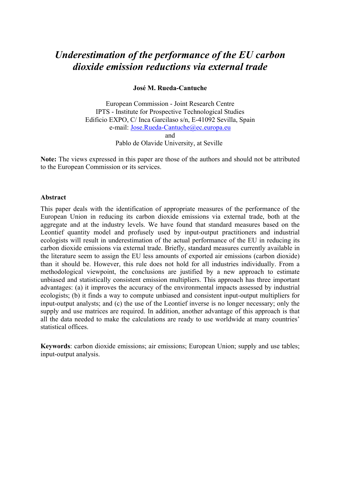# *Underestimation of the performance of the EU carbon dioxide emission reductions via external trade*

**José M. Rueda-Cantuche** 

European Commission - Joint Research Centre IPTS - Institute for Prospective Technological Studies Edificio EXPO, C/ Inca Garcilaso s/n, E-41092 Sevilla, Spain e-mail: Jose.Rueda-Cantuche@ec.europa.eu and

Pablo de Olavide University, at Seville

**Note:** The views expressed in this paper are those of the authors and should not be attributed to the European Commission or its services.

#### **Abstract**

This paper deals with the identification of appropriate measures of the performance of the European Union in reducing its carbon dioxide emissions via external trade, both at the aggregate and at the industry levels. We have found that standard measures based on the Leontief quantity model and profusely used by input-output practitioners and industrial ecologists will result in underestimation of the actual performance of the EU in reducing its carbon dioxide emissions via external trade. Briefly, standard measures currently available in the literature seem to assign the EU less amounts of exported air emissions (carbon dioxide) than it should be. However, this rule does not hold for all industries individually. From a methodological viewpoint, the conclusions are justified by a new approach to estimate unbiased and statistically consistent emission multipliers. This approach has three important advantages: (a) it improves the accuracy of the environmental impacts assessed by industrial ecologists; (b) it finds a way to compute unbiased and consistent input-output multipliers for input-output analysts; and (c) the use of the Leontief inverse is no longer necessary; only the supply and use matrices are required. In addition, another advantage of this approach is that all the data needed to make the calculations are ready to use worldwide at many countries' statistical offices.

**Keywords**: carbon dioxide emissions; air emissions; European Union; supply and use tables; input-output analysis.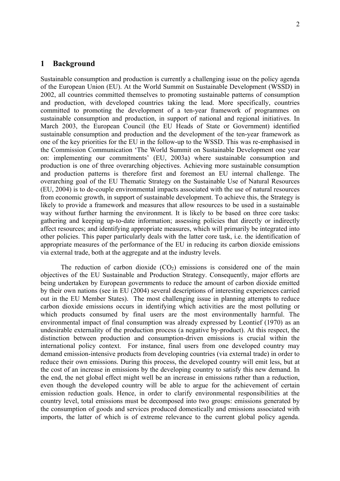# **1 Background**

Sustainable consumption and production is currently a challenging issue on the policy agenda of the European Union (EU). At the World Summit on Sustainable Development (WSSD) in 2002, all countries committed themselves to promoting sustainable patterns of consumption and production, with developed countries taking the lead. More specifically, countries committed to promoting the development of a ten-year framework of programmes on sustainable consumption and production, in support of national and regional initiatives. In March 2003, the European Council (the EU Heads of State or Government) identified sustainable consumption and production and the development of the ten-year framework as one of the key priorities for the EU in the follow-up to the WSSD. This was re-emphasised in the Commission Communication 'The World Summit on Sustainable Development one year on: implementing our commitments' (EU, 2003a) where sustainable consumption and production is one of three overarching objectives. Achieving more sustainable consumption and production patterns is therefore first and foremost an EU internal challenge. The overarching goal of the EU Thematic Strategy on the Sustainable Use of Natural Resources (EU, 2004) is to de-couple environmental impacts associated with the use of natural resources from economic growth, in support of sustainable development. To achieve this, the Strategy is likely to provide a framework and measures that allow resources to be used in a sustainable way without further harming the environment. It is likely to be based on three core tasks: gathering and keeping up-to-date information; assessing policies that directly or indirectly affect resources; and identifying appropriate measures, which will primarily be integrated into other policies. This paper particularly deals with the latter core task, i.e. the identification of appropriate measures of the performance of the EU in reducing its carbon dioxide emissions via external trade, both at the aggregate and at the industry levels.

The reduction of carbon dioxide  $(CO<sub>2</sub>)$  emissions is considered one of the main objectives of the EU Sustainable and Production Strategy. Consequently, major efforts are being undertaken by European governments to reduce the amount of carbon dioxide emitted by their own nations (see in EU (2004) several descriptions of interesting experiences carried out in the EU Member States). The most challenging issue in planning attempts to reduce carbon dioxide emissions occurs in identifying which activities are the most polluting or which products consumed by final users are the most environmentally harmful. The environmental impact of final consumption was already expressed by Leontief (1970) as an undesirable externality of the production process (a negative by-product). At this respect, the distinction between production and consumption-driven emissions is crucial within the international policy context. For instance, final users from one developed country may demand emission-intensive products from developing countries (via external trade) in order to reduce their own emissions. During this process, the developed country will emit less, but at the cost of an increase in emissions by the developing country to satisfy this new demand. In the end, the net global effect might well be an increase in emissions rather than a reduction, even though the developed country will be able to argue for the achievement of certain emission reduction goals. Hence, in order to clarify environmental responsibilities at the country level, total emissions must be decomposed into two groups: emissions generated by the consumption of goods and services produced domestically and emissions associated with imports, the latter of which is of extreme relevance to the current global policy agenda.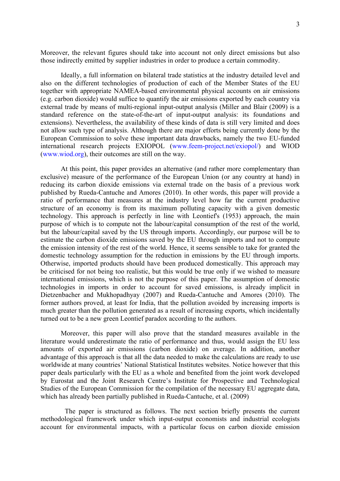Moreover, the relevant figures should take into account not only direct emissions but also those indirectly emitted by supplier industries in order to produce a certain commodity.

 Ideally, a full information on bilateral trade statistics at the industry detailed level and also on the different technologies of production of each of the Member States of the EU together with appropriate NAMEA-based environmental physical accounts on air emissions (e.g. carbon dioxide) would suffice to quantify the air emissions exported by each country via external trade by means of multi-regional input-output analysis (Miller and Blair (2009) is a standard reference on the state-of-the-art of input-output analysis: its foundations and extensions). Nevertheless, the availability of these kinds of data is still very limited and does not allow such type of analysis. Although there are major efforts being currently done by the European Commission to solve these important data drawbacks, namely the two EU-funded international research projects EXIOPOL (www.feem-project.net/exiopol/) and WIOD (www.wiod.org), their outcomes are still on the way.

 At this point, this paper provides an alternative (and rather more complementary than exclusive) measure of the performance of the European Union (or any country at hand) in reducing its carbon dioxide emissions via external trade on the basis of a previous work published by Rueda-Cantuche and Amores (2010). In other words, this paper will provide a ratio of performance that measures at the industry level how far the current productive structure of an economy is from its maximum polluting capacity with a given domestic technology. This approach is perfectly in line with Leontief's (1953) approach, the main purpose of which is to compute not the labour/capital consumption of the rest of the world, but the labour/capital saved by the US through imports. Accordingly, our purpose will be to estimate the carbon dioxide emissions saved by the EU through imports and not to compute the emission intensity of the rest of the world. Hence, it seems sensible to take for granted the domestic technology assumption for the reduction in emissions by the EU through imports. Otherwise, imported products should have been produced domestically. This approach may be criticised for not being too realistic, but this would be true only if we wished to measure international emissions, which is not the purpose of this paper. The assumption of domestic technologies in imports in order to account for saved emissions, is already implicit in Dietzenbacher and Mukhopadhyay (2007) and Rueda-Cantuche and Amores (2010). The former authors proved, at least for India, that the pollution avoided by increasing imports is much greater than the pollution generated as a result of increasing exports, which incidentally turned out to be a new green Leontief paradox according to the authors.

 Moreover, this paper will also prove that the standard measures available in the literature would underestimate the ratio of performance and thus, would assign the EU less amounts of exported air emissions (carbon dioxide) on average. In addition, another advantage of this approach is that all the data needed to make the calculations are ready to use worldwide at many countries' National Statistical Institutes websites. Notice however that this paper deals particularly with the EU as a whole and benefited from the joint work developed by Eurostat and the Joint Research Centre's Institute for Prospective and Technological Studies of the European Commission for the compilation of the necessary EU aggregate data, which has already been partially published in Rueda-Cantuche, et al. (2009)

The paper is structured as follows. The next section briefly presents the current methodological framework under which input-output economists and industrial ecologists account for environmental impacts, with a particular focus on carbon dioxide emission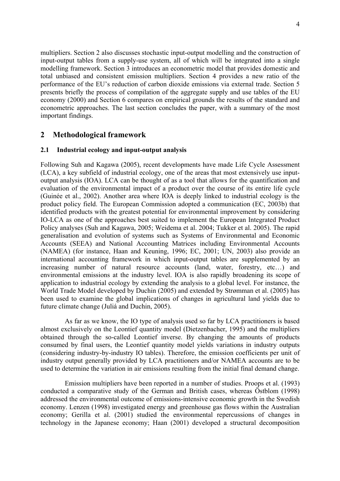multipliers. Section 2 also discusses stochastic input-output modelling and the construction of input-output tables from a supply-use system, all of which will be integrated into a single modelling framework. Section 3 introduces an econometric model that provides domestic and total unbiased and consistent emission multipliers. Section 4 provides a new ratio of the performance of the EU's reduction of carbon dioxide emissions via external trade. Section 5 presents briefly the process of compilation of the aggregate supply and use tables of the EU economy (2000) and Section 6 compares on empirical grounds the results of the standard and econometric approaches. The last section concludes the paper, with a summary of the most important findings.

# **2 Methodological framework**

# **2.1 Industrial ecology and input-output analysis**

Following Suh and Kagawa (2005), recent developments have made Life Cycle Assessment (LCA), a key subfield of industrial ecology, one of the areas that most extensively use inputoutput analysis (IOA). LCA can be thought of as a tool that allows for the quantification and evaluation of the environmental impact of a product over the course of its entire life cycle (Guinée et al., 2002). Another area where IOA is deeply linked to industrial ecology is the product policy field. The European Commission adopted a communication (EC, 2003b) that identified products with the greatest potential for environmental improvement by considering IO-LCA as one of the approaches best suited to implement the European Integrated Product Policy analyses (Suh and Kagawa, 2005; Weidema et al. 2004; Tukker et al. 2005). The rapid generalisation and evolution of systems such as Systems of Environmental and Economic Accounts (SEEA) and National Accounting Matrices including Environmental Accounts (NAMEA) (for instance, Haan and Keuning, 1996; EC, 2001; UN, 2003) also provide an international accounting framework in which input-output tables are supplemented by an increasing number of natural resource accounts (land, water, forestry, etc…) and environmental emissions at the industry level. IOA is also rapidly broadening its scope of application to industrial ecology by extending the analysis to a global level. For instance, the World Trade Model developed by Duchin (2005) and extended by Strømman et al. (2005) has been used to examine the global implications of changes in agricultural land yields due to future climate change (Juliá and Duchin, 2005).

As far as we know, the IO type of analysis used so far by LCA practitioners is based almost exclusively on the Leontief quantity model (Dietzenbacher, 1995) and the multipliers obtained through the so-called Leontief inverse. By changing the amounts of products consumed by final users, the Leontief quantity model yields variations in industry outputs (considering industry-by-industry IO tables). Therefore, the emission coefficients per unit of industry output generally provided by LCA practitioners and/or NAMEA accounts are to be used to determine the variation in air emissions resulting from the initial final demand change.

Emission multipliers have been reported in a number of studies. Proops et al. (1993) conducted a comparative study of the German and British cases, whereas Östblom (1998) addressed the environmental outcome of emissions-intensive economic growth in the Swedish economy. Lenzen (1998) investigated energy and greenhouse gas flows within the Australian economy; Gerilla et al. (2001) studied the environmental repercussions of changes in technology in the Japanese economy; Haan (2001) developed a structural decomposition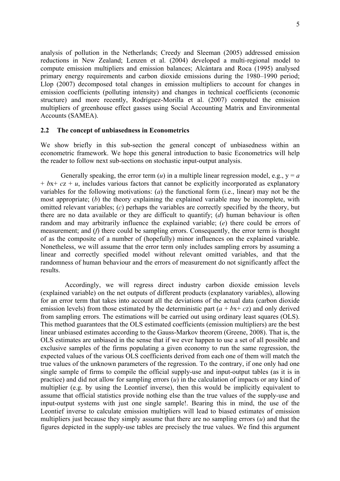analysis of pollution in the Netherlands; Creedy and Sleeman (2005) addressed emission reductions in New Zealand; Lenzen et al. (2004) developed a multi-regional model to compute emission multipliers and emission balances; Alcántara and Roca (1995) analysed primary energy requirements and carbon dioxide emissions during the 1980–1990 period; Llop (2007) decomposed total changes in emission multipliers to account for changes in emission coefficients (polluting intensity) and changes in technical coefficients (economic structure) and more recently, Rodríguez-Morilla et al. (2007) computed the emission multipliers of greenhouse effect gasses using Social Accounting Matrix and Environmental Accounts (SAMEA).

#### **2.2 The concept of unbiasedness in Econometrics**

We show briefly in this sub-section the general concept of unbiasedness within an econometric framework. We hope this general introduction to basic Econometrics will help the reader to follow next sub-sections on stochastic input-output analysis.

Generally speaking, the error term  $(u)$  in a multiple linear regression model, e.g.,  $y = a$  $+ bx + cz + u$ , includes various factors that cannot be explicitly incorporated as explanatory variables for the following motivations: (*a*) the functional form (i.e., linear) may not be the most appropriate; (*b*) the theory explaining the explained variable may be incomplete, with omitted relevant variables; (*c*) perhaps the variables are correctly specified by the theory, but there are no data available or they are difficult to quantify; (*d*) human behaviour is often random and may arbitrarily influence the explained variable; (*e*) there could be errors of measurement; and (*f*) there could be sampling errors. Consequently, the error term is thought of as the composite of a number of (hopefully) minor influences on the explained variable. Nonetheless, we will assume that the error term only includes sampling errors by assuming a linear and correctly specified model without relevant omitted variables, and that the randomness of human behaviour and the errors of measurement do not significantly affect the results.

Accordingly, we will regress direct industry carbon dioxide emission levels (explained variable) on the net outputs of different products (explanatory variables), allowing for an error term that takes into account all the deviations of the actual data (carbon dioxide emission levels) from those estimated by the deterministic part  $(a + bx + cz)$  and only derived from sampling errors. The estimations will be carried out using ordinary least squares (OLS). This method guarantees that the OLS estimated coefficients (emission multipliers) are the best linear unbiased estimates according to the Gauss-Markov theorem (Greene, 2008). That is, the OLS estimates are unbiased in the sense that if we ever happen to use a set of all possible and exclusive samples of the firms populating a given economy to run the same regression, the expected values of the various OLS coefficients derived from each one of them will match the true values of the unknown parameters of the regression. To the contrary, if one only had one single sample of firms to compile the official supply-use and input-output tables (as it is in practice) and did not allow for sampling errors (*u*) in the calculation of impacts or any kind of multiplier (e.g. by using the Leontief inverse), then this would be implicitly equivalent to assume that official statistics provide nothing else than the true values of the supply-use and input-output systems with just one single sample!. Bearing this in mind, the use of the Leontief inverse to calculate emission multipliers will lead to biased estimates of emission multipliers just because they simply assume that there are no sampling errors (*u*) and that the figures depicted in the supply-use tables are precisely the true values. We find this argument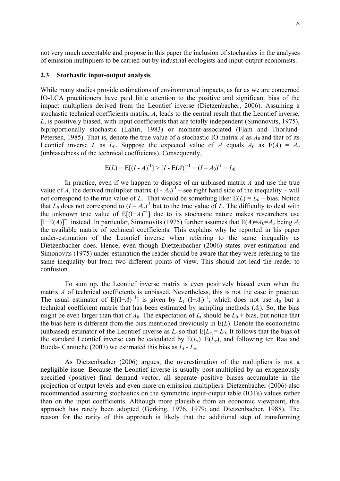not very much acceptable and propose in this paper the inclusion of stochastics in the analyses of emission multipliers to be carried out by industrial ecologists and input-output economists.

#### **2.3 Stochastic input-output analysis**

While many studies provide estimations of environmental impacts, as far as we are concerned IO-LCA practitioners have paid little attention to the positive and significant bias of the impact multipliers derived from the Leontief inverse (Dietzenbacher, 2006). Assuming a stochastic technical coefficients matrix, *A*, leads to the central result that the Leontief inverse, *L*, is positively biased, with input coefficients that are totally independent (Simonovits, 1975), biproportionally stochastic (Lahiri, 1983) or moment-associated (Flam and Thorlund-Petersen, 1985). That is, denote the true value of a stochastic IO matrix *A* as  $A_0$  and that of its Leontief inverse *L* as  $L_0$ . Suppose the expected value of *A* equals  $A_0$  as  $E(A) = A_0$ (unbiasedness of the technical coefficients). Consequently,

$$
E(L) = E[(I - A)^{-1}] > [I - E(A)]^{-1} = (I - A_0)^{-1} = L_0
$$

In practice, even if we happen to dispose of an unbiased matrix *A* and use the true value of *A*, the derived multiplier matrix  $(I - A_0)^{-1}$  – see right hand side of the inequality – will not correspond to the true value of *L*. That would be something like:  $E(L) = L_0 + \text{bias}$ . Notice that  $L_0$  does not correspond to  $(I - A_0)^{-1}$  but to the true value of L. The difficulty to deal with the unknown true value of  $E[(I-A)^{-1}]$  due to its stochastic nature makes researchers use  $[I-E(A)]^{-1}$  instead. In particular, Simonovits (1975) further assumes that  $E(A)=A_0=A_t$ , being  $A_t$ the available matrix of technical coefficients. This explains why he reported in his paper under-estimation of the Leontief inverse when referring to the same inequality as Dietzenbacher does. Hence, even though Dietzenbacher (2006) states over-estimation and Simonovits (1975) under-estimation the reader should be aware that they were referring to the same inequality but from two different points of view. This should not lead the reader to confusion.

To sum up, the Leontief inverse matrix is even positively biased even when the matrix *A* of technical coefficients is unbiased. Nevertheless, this is not the case in practice. The usual estimator of  $E[(I-A)^{-1}]$  is given by  $L_t=(I-A_t)^{-1}$ , which does not use  $A_0$  but a technical coefficient matrix that has been estimated by sampling methods  $(A_t)$ . So, the bias might be even larger than that of  $A_0$ . The expectation of  $L_t$  should be  $L_0$  + bias, but notice that the bias here is different from the bias mentioned previously in E(*L*). Denote the econometric (unbiased) estimator of the Leontief inverse as  $L_e$  so that  $E[L_e] = L_0$ . It follows that the bias of the standard Leontief inverse can be calculated by E(*L*t)−E(*Le*), and following ten Raa and Rueda- Cantuche (2007) we estimated this bias as  $L_t$  -  $L_e$ .

As Dietzenbacher (2006) argues, the overestimation of the multipliers is not a negligible issue. Because the Leontief inverse is usually post-multiplied by an exogenously specified (positive) final demand vector, all separate positive biases accumulate in the projection of output levels and even more on emission multipliers. Dietzenbacher (2006) also recommended assuming stochastics on the symmetric input-output table (IOTs) values rather than on the input coefficients. Although more plausible from an economic viewpoint, this approach has rarely been adopted (Gerking, 1976, 1979; and Dietzenbacher, 1988). The reason for the rarity of this approach is likely that the additional step of transforming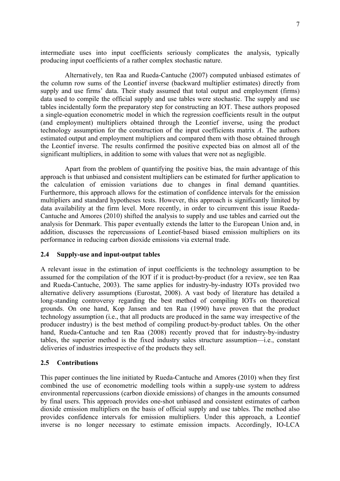intermediate uses into input coefficients seriously complicates the analysis, typically producing input coefficients of a rather complex stochastic nature.

Alternatively, ten Raa and Rueda-Cantuche (2007) computed unbiased estimates of the column row sums of the Leontief inverse (backward multiplier estimates) directly from supply and use firms' data. Their study assumed that total output and employment (firms) data used to compile the official supply and use tables were stochastic. The supply and use tables incidentally form the preparatory step for constructing an IOT. These authors proposed a single-equation econometric model in which the regression coefficients result in the output (and employment) multipliers obtained through the Leontief inverse, using the product technology assumption for the construction of the input coefficients matrix *A*. The authors estimated output and employment multipliers and compared them with those obtained through the Leontief inverse. The results confirmed the positive expected bias on almost all of the significant multipliers, in addition to some with values that were not as negligible.

Apart from the problem of quantifying the positive bias, the main advantage of this approach is that unbiased and consistent multipliers can be estimated for further application to the calculation of emission variations due to changes in final demand quantities. Furthermore, this approach allows for the estimation of confidence intervals for the emission multipliers and standard hypotheses tests. However, this approach is significantly limited by data availability at the firm level. More recently, in order to circumvent this issue Rueda-Cantuche and Amores (2010) shifted the analysis to supply and use tables and carried out the analysis for Denmark. This paper eventually extends the latter to the European Union and, in addition, discusses the repercussions of Leontief-based biased emission multipliers on its performance in reducing carbon dioxide emissions via external trade.

# **2.4 Supply-use and input-output tables**

A relevant issue in the estimation of input coefficients is the technology assumption to be assumed for the compilation of the IOT if it is product-by-product (for a review, see ten Raa and Rueda-Cantuche, 2003). The same applies for industry-by-industry IOTs provided two alternative delivery assumptions (Eurostat, 2008). A vast body of literature has detailed a long-standing controversy regarding the best method of compiling IOTs on theoretical grounds. On one hand, Kop Jansen and ten Raa (1990) have proven that the product technology assumption (i.e., that all products are produced in the same way irrespective of the producer industry) is the best method of compiling product-by-product tables. On the other hand, Rueda-Cantuche and ten Raa (2008) recently proved that for industry-by-industry tables, the superior method is the fixed industry sales structure assumption—i.e., constant deliveries of industries irrespective of the products they sell.

# **2.5 Contributions**

This paper continues the line initiated by Rueda-Cantuche and Amores (2010) when they first combined the use of econometric modelling tools within a supply-use system to address environmental repercussions (carbon dioxide emissions) of changes in the amounts consumed by final users. This approach provides one-shot unbiased and consistent estimates of carbon dioxide emission multipliers on the basis of official supply and use tables. The method also provides confidence intervals for emission multipliers. Under this approach, a Leontief inverse is no longer necessary to estimate emission impacts. Accordingly, IO-LCA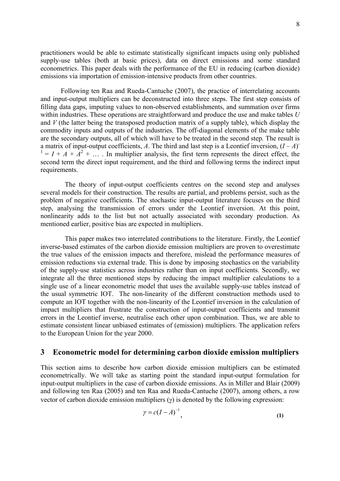practitioners would be able to estimate statistically significant impacts using only published supply-use tables (both at basic prices), data on direct emissions and some standard econometrics. This paper deals with the performance of the EU in reducing (carbon dioxide) emissions via importation of emission-intensive products from other countries.

 Following ten Raa and Rueda-Cantuche (2007), the practice of interrelating accounts and input-output multipliers can be deconstructed into three steps. The first step consists of filling data gaps, imputing values to non-observed establishments, and summation over firms within industries. These operations are straightforward and produce the use and make tables *U* and *V* (the latter being the transposed production matrix of a supply table), which display the commodity inputs and outputs of the industries. The off-diagonal elements of the make table are the secondary outputs, all of which will have to be treated in the second step. The result is a matrix of input-output coefficients,  $A$ . The third and last step is a Leontief inversion,  $(I - A)$  $I = I + A + A^2 + \dots$ . In multiplier analysis, the first term represents the direct effect, the second term the direct input requirement, and the third and following terms the indirect input requirements.

The theory of input-output coefficients centres on the second step and analyses several models for their construction. The results are partial, and problems persist, such as the problem of negative coefficients. The stochastic input-output literature focuses on the third step, analysing the transmission of errors under the Leontief inversion. At this point, nonlinearity adds to the list but not actually associated with secondary production. As mentioned earlier, positive bias are expected in multipliers.

This paper makes two interrelated contributions to the literature. Firstly, the Leontief inverse-based estimates of the carbon dioxide emission multipliers are proven to overestimate the true values of the emission impacts and therefore, mislead the performance measures of emission reductions via external trade. This is done by imposing stochastics on the variability of the supply-use statistics across industries rather than on input coefficients. Secondly, we integrate all the three mentioned steps by reducing the impact multiplier calculations to a single use of a linear econometric model that uses the available supply-use tables instead of the usual symmetric IOT. The non-linearity of the different construction methods used to compute an IOT together with the non-linearity of the Leontief inversion in the calculation of impact multipliers that frustrate the construction of input-output coefficients and transmit errors in the Leontief inverse, neutralise each other upon combination. Thus, we are able to estimate consistent linear unbiased estimates of (emission) multipliers. The application refers to the European Union for the year 2000.

#### **3 Econometric model for determining carbon dioxide emission multipliers**

This section aims to describe how carbon dioxide emission multipliers can be estimated econometrically. We will take as starting point the standard input-output formulation for input-output multipliers in the case of carbon dioxide emissions. As in Miller and Blair (2009) and following ten Raa (2005) and ten Raa and Rueda-Cantuche (2007), among others, a row vector of carbon dioxide emission multipliers  $(\gamma)$  is denoted by the following expression:

$$
\gamma = c(I - A)^{-1},\tag{1}
$$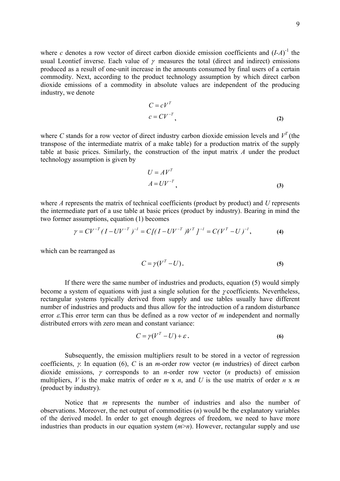where *c* denotes a row vector of direct carbon dioxide emission coefficients and  $(I-A)^{-1}$  the usual Leontief inverse. Each value of  $\gamma$  measures the total (direct and indirect) emissions produced as a result of one-unit increase in the amounts consumed by final users of a certain commodity. Next, according to the product technology assumption by which direct carbon dioxide emissions of a commodity in absolute values are independent of the producing industry, we denote

$$
C = cV^{T}
$$
  
\n
$$
c = CV^{-T},
$$
\n(2)

where *C* stands for a row vector of direct industry carbon dioxide emission levels and  $V<sup>T</sup>$  (the transpose of the intermediate matrix of a make table) for a production matrix of the supply table at basic prices. Similarly, the construction of the input matrix *A* under the product technology assumption is given by

$$
U = AVT
$$
  

$$
A = UV-T
$$
 (3)

where *A* represents the matrix of technical coefficients (product by product) and *U* represents the intermediate part of a use table at basic prices (product by industry). Bearing in mind the two former assumptions, equation (1) becomes

$$
\gamma = CV^{-T} (I - UV^{-T})^{-1} = C[(I - UV^{-T})V^{T}]^{-1} = C(V^{T} - U)^{-1},
$$
\n(4)

which can be rearranged as

$$
C = \gamma(V^T - U). \tag{5}
$$

If there were the same number of industries and products, equation (5) would simply become a system of equations with just a single solution for the  $\gamma$  coefficients. Nevertheless, rectangular systems typically derived from supply and use tables usually have different number of industries and products and thus allow for the introduction of a random disturbance error ε.This error term can thus be defined as a row vector of *m* independent and normally distributed errors with zero mean and constant variance:

$$
C = \gamma (V^T - U) + \varepsilon \,. \tag{6}
$$

Subsequently, the emission multipliers result to be stored in a vector of regression coefficients, γ. In equation (6), *C* is an *m*-order row vector (*m* industries) of direct carbon dioxide emissions, γ corresponds to an *n*-order row vector (*n* products) of emission multipliers, *V* is the make matrix of order *m* x *n*, and *U* is the use matrix of order *n* x *m* (product by industry).

Notice that *m* represents the number of industries and also the number of observations. Moreover, the net output of commodities (*n*) would be the explanatory variables of the derived model. In order to get enough degrees of freedom, we need to have more industries than products in our equation system  $(m>n)$ . However, rectangular supply and use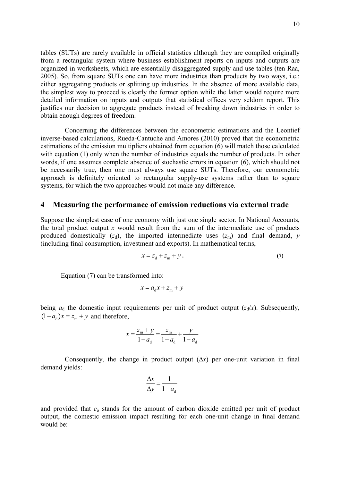tables (SUTs) are rarely available in official statistics although they are compiled originally from a rectangular system where business establishment reports on inputs and outputs are organized in worksheets, which are essentially disaggregated supply and use tables (ten Raa, 2005). So, from square SUTs one can have more industries than products by two ways, i.e.: either aggregating products or splitting up industries. In the absence of more available data, the simplest way to proceed is clearly the former option while the latter would require more detailed information on inputs and outputs that statistical offices very seldom report. This justifies our decision to aggregate products instead of breaking down industries in order to obtain enough degrees of freedom.

Concerning the differences between the econometric estimations and the Leontief inverse-based calculations, Rueda-Cantuche and Amores (2010) proved that the econometric estimations of the emission multipliers obtained from equation (6) will match those calculated with equation (1) only when the number of industries equals the number of products. In other words, if one assumes complete absence of stochastic errors in equation (6), which should not be necessarily true, then one must always use square SUTs. Therefore, our econometric approach is definitely oriented to rectangular supply-use systems rather than to square systems, for which the two approaches would not make any difference.

### **4 Measuring the performance of emission reductions via external trade**

Suppose the simplest case of one economy with just one single sector. In National Accounts, the total product output  $x$  would result from the sum of the intermediate use of products produced domestically  $(z_d)$ , the imported intermediate uses  $(z_m)$  and final demand, *v* (including final consumption, investment and exports). In mathematical terms,

$$
x = zd + zm + y.
$$
 (7)

Equation (7) can be transformed into:

$$
x = a_d x + z_m + y
$$

being  $a_d$  the domestic input requirements per unit of product output  $(z_d/x)$ . Subsequently,  $(1 - a_d)x = z_m + y$  and therefore,

$$
x = \frac{z_{\rm m} + y}{1 - a_{\rm d}} = \frac{z_{\rm m}}{1 - a_{\rm d}} + \frac{y}{1 - a_{\rm d}}
$$

Consequently, the change in product output  $(\Delta x)$  per one-unit variation in final demand yields:

$$
\frac{\Delta x}{\Delta y} = \frac{1}{1 - a_{\rm d}}
$$

and provided that *c*o stands for the amount of carbon dioxide emitted per unit of product output, the domestic emission impact resulting for each one-unit change in final demand would be: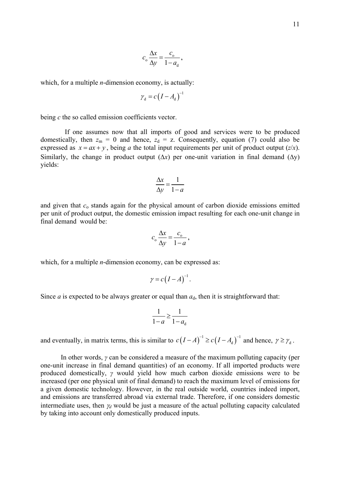$$
c_{\rm o} \frac{\Delta x}{\Delta y} = \frac{c_{\rm o}}{1 - a_{\rm d}},
$$

which, for a multiple *n*-dimension economy, is actually:

$$
\gamma_{\rm d} = c\big(I - A_{\rm d}\big)^{-1}
$$

being *c* the so called emission coefficients vector.

If one assumes now that all imports of good and services were to be produced domestically, then  $z_m = 0$  and hence,  $z_d = z$ . Consequently, equation (7) could also be expressed as  $x = ax + y$ , being *a* the total input requirements per unit of product output (*z*/*x*). Similarly, the change in product output  $(\Delta x)$  per one-unit variation in final demand  $(\Delta y)$ yields:

$$
\frac{\Delta x}{\Delta y} = \frac{1}{1 - a}
$$

and given that  $c_0$  stands again for the physical amount of carbon dioxide emissions emitted per unit of product output, the domestic emission impact resulting for each one-unit change in final demand would be:

$$
c_{\rm o} \frac{\Delta x}{\Delta y} = \frac{c_{\rm o}}{1 - a},
$$

which, for a multiple *n*-dimension economy, can be expressed as:

$$
\gamma = c\left(I - A\right)^{-1}.
$$

Since  $a$  is expected to be always greater or equal than  $a_d$ , then it is straightforward that:

$$
\frac{1}{1-a} \ge \frac{1}{1-a_d}
$$

and eventually, in matrix terms, this is similar to  $c(I - A)^{-1} \ge c(I - A_d)^{-1}$  and hence,  $\gamma \ge \gamma_d$ .

 In other words, *γ* can be considered a measure of the maximum polluting capacity (per one-unit increase in final demand quantities) of an economy. If all imported products were produced domestically, *γ* would yield how much carbon dioxide emissions were to be increased (per one physical unit of final demand) to reach the maximum level of emissions for a given domestic technology. However, in the real outside world, countries indeed import, and emissions are transferred abroad via external trade. Therefore, if one considers domestic intermediate uses, then  $\gamma_d$  would be just a measure of the actual polluting capacity calculated by taking into account only domestically produced inputs.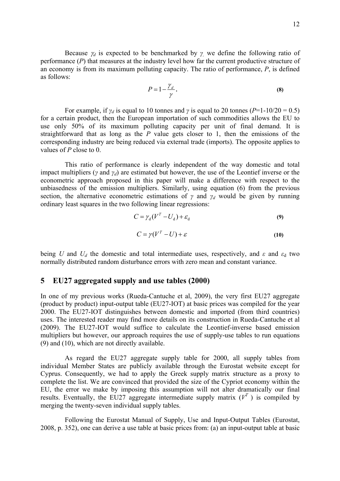Because <sup>γ</sup>*d* is expected to be benchmarked by *γ,* we define the following ratio of performance (*P*) that measures at the industry level how far the current productive structure of an economy is from its maximum polluting capacity. The ratio of performance, *P*, is defined as follows:

$$
P = 1 - \frac{\gamma_d}{\gamma}.\tag{8}
$$

For example, if  $\gamma_d$  is equal to 10 tonnes and  $\gamma$  is equal to 20 tonnes ( $P=1-10/20 = 0.5$ ) for a certain product, then the European importation of such commodities allows the EU to use only 50% of its maximum polluting capacity per unit of final demand. It is straightforward that as long as the *P* value gets closer to 1, then the emissions of the corresponding industry are being reduced via external trade (imports). The opposite applies to values of *P* close to 0.

This ratio of performance is clearly independent of the way domestic and total impact multipliers (*γ* and *γd*) are estimated but however, the use of the Leontief inverse or the econometric approach proposed in this paper will make a difference with respect to the unbiasedness of the emission multipliers. Similarly, using equation (6) from the previous section, the alternative econometric estimations of  $\gamma$  and  $\gamma_d$  would be given by running ordinary least squares in the two following linear regressions:

$$
C = \gamma_{\rm d} (V^T - U_{\rm d}) + \varepsilon_{\rm d} \tag{9}
$$

$$
C = \gamma(V^T - U) + \varepsilon \tag{10}
$$

being *U* and  $U_d$  the domestic and total intermediate uses, respectively, and  $\varepsilon$  and  $\varepsilon_d$  two normally distributed random disturbance errors with zero mean and constant variance.

#### **5 EU27 aggregated supply and use tables (2000)**

In one of my previous works (Rueda-Cantuche et al, 2009), the very first EU27 aggregate (product by product) input-output table (EU27-IOT) at basic prices was compiled for the year 2000. The EU27-IOT distinguishes between domestic and imported (from third countries) uses. The interested reader may find more details on its construction in Rueda-Cantuche et al (2009). The EU27-IOT would suffice to calculate the Leontief-inverse based emission multipliers but however, our approach requires the use of supply-use tables to run equations (9) and (10), which are not directly available.

As regard the EU27 aggregate supply table for 2000, all supply tables from individual Member States are publicly available through the Eurostat website except for Cyprus. Consequently, we had to apply the Greek supply matrix structure as a proxy to complete the list. We are convinced that provided the size of the Cypriot economy within the EU, the error we make by imposing this assumption will not alter dramatically our final results. Eventually, the EU27 aggregate intermediate supply matrix  $(V^T)$  is compiled by merging the twenty-seven individual supply tables.

Following the Eurostat Manual of Supply, Use and Input-Output Tables (Eurostat, 2008, p. 352), one can derive a use table at basic prices from: (a) an input-output table at basic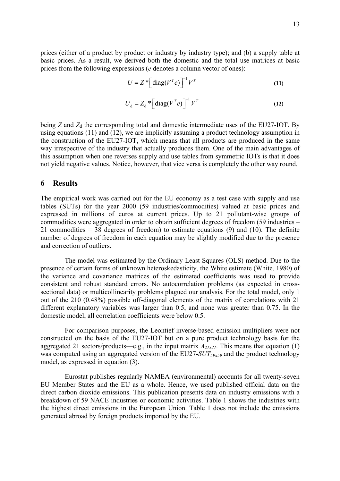prices (either of a product by product or industry by industry type); and (b) a supply table at basic prices. As a result, we derived both the domestic and the total use matrices at basic prices from the following expressions (*e* denotes a column vector of ones):

$$
U = Z^* \left[ \text{diag}(V^T e) \right]^{-1} V^T \tag{11}
$$

$$
U_{\rm d} = Z_{\rm d} \triangleq \left[ \text{diag}(V^T e) \right]^{-1} V^T \tag{12}
$$

being  $Z$  and  $Z_d$  the corresponding total and domestic intermediate uses of the EU27-IOT. By using equations (11) and (12), we are implicitly assuming a product technology assumption in the construction of the EU27-IOT, which means that all products are produced in the same way irrespective of the industry that actually produces them. One of the main advantages of this assumption when one reverses supply and use tables from symmetric IOTs is that it does not yield negative values. Notice, however, that vice versa is completely the other way round.

# **6 Results**

The empirical work was carried out for the EU economy as a test case with supply and use tables (SUTs) for the year 2000 (59 industries/commodities) valued at basic prices and expressed in millions of euros at current prices. Up to 21 pollutant-wise groups of commodities were aggregated in order to obtain sufficient degrees of freedom (59 industries – 21 commodities = 38 degrees of freedom) to estimate equations (9) and (10). The definite number of degrees of freedom in each equation may be slightly modified due to the presence and correction of outliers.

The model was estimated by the Ordinary Least Squares (OLS) method. Due to the presence of certain forms of unknown heteroskedasticity, the White estimate (White, 1980) of the variance and covariance matrices of the estimated coefficients was used to provide consistent and robust standard errors. No autocorrelation problems (as expected in crosssectional data) or multicollinearity problems plagued our analysis. For the total model, only 1 out of the 210 (0.48%) possible off-diagonal elements of the matrix of correlations with 21 different explanatory variables was larger than 0.5, and none was greater than 0.75. In the domestic model, all correlation coefficients were below 0.5.

For comparison purposes, the Leontief inverse-based emission multipliers were not constructed on the basis of the EU27-IOT but on a pure product technology basis for the aggregated 21 sectors/products—e.g., in the input matrix  $A_{21x21}$ . This means that equation (1) was computed using an aggregated version of the EU27-*SUT<sub>59x59</sub>* and the product technology model, as expressed in equation (3).

Eurostat publishes regularly NAMEA (environmental) accounts for all twenty-seven EU Member States and the EU as a whole. Hence, we used published official data on the direct carbon dioxide emissions. This publication presents data on industry emissions with a breakdown of 59 NACE industries or economic activities. Table 1 shows the industries with the highest direct emissions in the European Union. Table 1 does not include the emissions generated abroad by foreign products imported by the EU.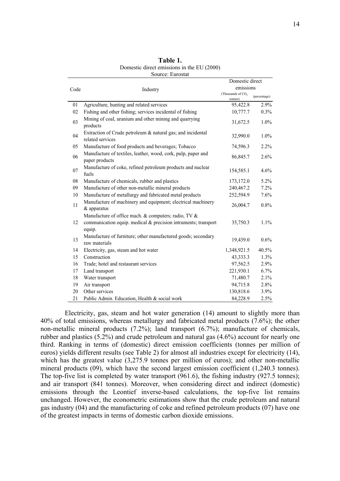|      |                                                                                                                                  | Domestic direct                          |              |  |  |  |
|------|----------------------------------------------------------------------------------------------------------------------------------|------------------------------------------|--------------|--|--|--|
| Code | Industry                                                                                                                         | emissions                                |              |  |  |  |
|      |                                                                                                                                  | (Thousands of CO <sub>2</sub><br>tonnes) | (percentage) |  |  |  |
| 01   | Agriculture, hunting and related services                                                                                        | 95,422.8                                 | 2.9%         |  |  |  |
| 02   | Fishing and other fishing; services incidental of fishing                                                                        | 10,777.7                                 | 0.3%         |  |  |  |
| 03   | Mining of coal, uranium and other mining and quarrying<br>products                                                               | 31,672.5                                 | 1.0%         |  |  |  |
| 04   | Extraction of Crude petroleum & natural gas; and incidental<br>related services                                                  | 32,990.0                                 | $1.0\%$      |  |  |  |
| 05   | Manufacture of food products and beverages; Tobacco                                                                              | 74,596.3                                 | 2.2%         |  |  |  |
| 06   | Manufacture of textiles, leather, wood, cork, pulp, paper and<br>paper products                                                  | 86,845.7                                 | 2.6%         |  |  |  |
| 07   | Manufacture of coke, refined petroleum products and nuclear<br>fuels                                                             | 154,585.1                                | 4.6%         |  |  |  |
| 08   | Manufacture of chemicals, rubber and plastics                                                                                    | 173,172.0                                | 5.2%         |  |  |  |
| 09   | Manufacture of other non-metallic mineral products                                                                               | 240,467.2                                | 7.2%         |  |  |  |
| 10   | Manufacture of metallurgy and fabricated metal products                                                                          | 252,594.9                                | 7.6%         |  |  |  |
| 11   | Manufacture of machinery and equipment; electrical machinery<br>& apparatus                                                      | 26,004.7                                 | 0.8%         |  |  |  |
| 12   | Manufacture of office mach. & computers; radio, TV &<br>communication equip. medical & precision intruments; transport<br>equip. | 35,750.3                                 | 1.1%         |  |  |  |
| 13   | Manufacture of furniture; other manufactured goods; secondary<br>raw materials                                                   | 19,439.0                                 | $0.6\%$      |  |  |  |
| 14   | Electricity, gas, steam and hot water                                                                                            | 1,348,921.5                              | 40.5%        |  |  |  |
| 15   | Construction                                                                                                                     | 43,333.3                                 | 1.3%         |  |  |  |
| 16   | Trade; hotel and restaurant services                                                                                             | 97,562.5                                 | 2.9%         |  |  |  |
| 17   | Land transport                                                                                                                   | 221,930.1                                | 6.7%         |  |  |  |
| 18   | Water transport                                                                                                                  | 71,480.7                                 | 2.1%         |  |  |  |
| 19   | Air transport                                                                                                                    | 94,715.8                                 | 2.8%         |  |  |  |
| 20   | Other services                                                                                                                   | 130,818.6                                | 3.9%         |  |  |  |
| 21   | Public Admin. Education, Health & social work                                                                                    | 84,228.9                                 | 2.5%         |  |  |  |

| Table 1.                                   |
|--------------------------------------------|
| Domestic direct emissions in the EU (2000) |
| Source: Eurostat                           |

Electricity, gas, steam and hot water generation (14) amount to slightly more than 40% of total emissions, whereas metallurgy and fabricated metal products (7.6%); the other non-metallic mineral products (7.2%); land transport (6.7%); manufacture of chemicals, rubber and plastics (5.2%) and crude petroleum and natural gas (4.6%) account for nearly one third. Ranking in terms of (domestic) direct emission coefficients (tonnes per million of euros) yields different results (see Table 2) for almost all industries except for electricity (14), which has the greatest value  $(3,275.9)$  tonnes per million of euros); and other non-metallic mineral products (09), which have the second largest emission coefficient (1,240.3 tonnes). The top-five list is completed by water transport (961.6), the fishing industry (927.5 tonnes); and air transport (841 tonnes). Moreover, when considering direct and indirect (domestic) emissions through the Leontief inverse-based calculations, the top-five list remains unchanged. However, the econometric estimations show that the crude petroleum and natural gas industry (04) and the manufacturing of coke and refined petroleum products (07) have one of the greatest impacts in terms of domestic carbon dioxide emissions.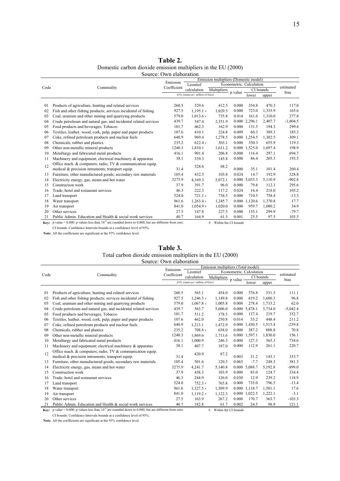| Table 2.                                                      |
|---------------------------------------------------------------|
| Domestic carbon dioxide emission multipliers in the EU (2000) |
| Source: Own elaboration                                       |

|      | Emission multipliers (Domestic model)<br>Emission                                                                 |             |                                              |                             |         |                          |         |            |  |
|------|-------------------------------------------------------------------------------------------------------------------|-------------|----------------------------------------------|-----------------------------|---------|--------------------------|---------|------------|--|
| Code | Commodity                                                                                                         | Coefficient | Leontief                                     |                             |         | Econometric. Calculation |         | estimated  |  |
|      |                                                                                                                   |             | calculation                                  | Multipliers                 | p value | CI bounds                |         | bias       |  |
|      |                                                                                                                   |             | (CO <sub>2</sub> tonnes per million of Euro) |                             |         | lower                    | upper   |            |  |
|      |                                                                                                                   |             |                                              |                             |         |                          |         |            |  |
| 01   | Products of agriculture, hunting and related services                                                             | 260.5       | 529.6                                        | 412.5                       | 0.000   | 354.8                    | 470.3   | 117.0      |  |
| 02   | Fish and other fishing products; services incidental of fishing                                                   | 927.5       | 1,195.1#                                     | 1,029.5                     | 0.000   | 723.0                    | 1.335.9 | 165.6      |  |
| 03   | Coal, uranium and other mining and quarrying products                                                             | 579.0       | 1,013.6#                                     | 735.8                       | 0.014   | 161.6                    | 1.310.0 | 277.8      |  |
| 04   | Crude petroleum and natural gas; and incidental related services                                                  | 439.7       | 547.4                                        | 2.351.9                     |         | $0.000$ 2,296.1          | 2,407.7 | $-1,804.5$ |  |
| 05   | Food products and beverages; Tobacco                                                                              | 101.7       | 462.3                                        | 162.9                       | 0.000   | 131.5                    | 194.3   | 299.4      |  |
| 06   | Textiles, leather, wood, cork, pulp, paper and paper products                                                     | 107.6       | 410.1                                        | 224.8                       | 0.009   | 60.3                     | 389.3   | 185.3      |  |
| 07   | Coke, refined petroleum products and nuclear fuels                                                                | 640.9       | 969.4                                        | 1,278.5                     |         | 0.000 1.254.5            | 1,302.5 | $-309.1$   |  |
| 08   | Chemicals, rubber and plastics                                                                                    | 235.2       | $622.4*$                                     | 503.1                       | 0.000   | 350.3                    | 655.9   | 119.3      |  |
| 09   | Other non-metallic mineral products                                                                               | 1240.3      | 1,810.1                                      | 1,611.2                     |         | 0.000 1,525.0            | 1,697.4 | 198.9      |  |
| 10   | Metallurgy and fabricated metal products                                                                          | 416.1       | 901.4                                        | 206.8                       | 0.000   | 116.4                    | 297.1   | 694.7      |  |
| 11   | Machinery and equipment; electrical machinery $\&$ apparatus                                                      | 38.1        | 339.3                                        | 145.8                       | 0.000   | 86.4                     | 205.3   | 193.5      |  |
| 12   | Office mach. & computers; radio, TV & communication equip.                                                        |             |                                              |                             |         |                          |         |            |  |
|      | medical & precision intruments; transport equip.                                                                  | 31.4        | 328.6                                        | 68.2                        | 0.000   | 35.1                     | 101.4   | 260.4      |  |
| 13   | Furniture; other manufactured goods; secondary raw materials                                                      | 105.4       | 432.5                                        | 103.8                       | 0.024   | 14.7                     | 192.9   | 328.8      |  |
| 14   | Electricity energy, gas, steam and hot water                                                                      | 3275.9      | 4,169.3                                      | 5,072.1                     |         | 0.000 5,033.3            | 5,110.9 | $-902.8$   |  |
| 15   | Construction work                                                                                                 | 37.9        | 391.7                                        | 96.0                        | 0.000   | 79.8                     | 112.3   | 295.6      |  |
| 16   | Trade; hotel and restaurant services                                                                              | 46.3        | 222.3                                        | 117.2                       | 0.024   | 16.4                     | 218.0   | 105.2      |  |
| 17   | Land transport                                                                                                    | 524.0       | $721.1*$                                     | 734.5                       | 0.000   | 710.5                    | 758.4   | $-13.3$    |  |
| 18   | Water transport                                                                                                   | 961.6       | $1,263.4*$                                   | 1,245.7                     | 0.000   | 1,120.6                  | 1,370.8 | 17.7       |  |
| 19   | Air transport                                                                                                     | 841.0       | 1,054.9#                                     | 1,020.0                     | 0.000   | 959.7                    | 1,080.2 | 34.9       |  |
| 20   | Other services                                                                                                    | 27.5        | 147.8                                        | 227.5                       | 0.000   | 155.1                    | 299.9   | $-79.7$    |  |
| 21   | Public Admin. Education and Health & social work services                                                         | 40.7        | 164.9                                        | 61.5                        | 0.001   | 25.5                     | 97.5    | 103.5      |  |
|      | <b>Key:</b> p value = 0.000: p values less than $10^{-4}$ are rounded down to 0.000, but are different from zero. |             |                                              | $\#$ : Within the CI bounds |         |                          |         |            |  |

CI bounds: Confidence Intervals bounds at a confidence level of 95%.

**Note:** All the coefficients are significant at the 97% confidence level.

# **Table 3.**  Total carbon dioxide emission multipliers in the EU (2000)

|          | Source: Own elaboration                 |          |                                    |
|----------|-----------------------------------------|----------|------------------------------------|
|          |                                         |          | Emission multipliers (Total model) |
| mmaditri | Emission<br>$C_{\alpha\alpha}$ fficiant | Leontief | Econometric, Calculation           |
|          |                                         |          |                                    |

| Code |                                                                  | Leontief<br>Econometric, Calculation<br>Coefficient<br>Commodity |                                              |             |         | estimated     |         |            |
|------|------------------------------------------------------------------|------------------------------------------------------------------|----------------------------------------------|-------------|---------|---------------|---------|------------|
|      |                                                                  |                                                                  | calculation                                  | Multipliers | p value | CI bounds     |         | bias       |
|      |                                                                  |                                                                  | (CO <sub>2</sub> tonnes per million of Euro) |             |         | lower         | upper   |            |
|      |                                                                  |                                                                  |                                              |             |         |               |         |            |
| 01   | Products of agriculture, hunting and related services            | 260.5                                                            | 565.1                                        | 454.0       | 0.000   | 376.8         | 531.3   | 111.1      |
| 02   | Fish and other fishing products; services incidental of fishing  | 927.5                                                            | $1,246.5$ #                                  | 1,149.8     | 0.000   | 619.2         | 1,680.3 | 96.8       |
| 03   | Coal, uranium and other mining and quarrying products            | 579.0                                                            | 1,067.8#                                     | 1,005.8     | 0.008   | 278.4         | 1,733.2 | 62.0       |
| 04   | Crude petroleum and natural gas; and incidental related services | 439.7                                                            | 563.7                                        | 5.606.0     | 0.000   | 5.478.1       | 5,734.0 | $-5,042.4$ |
| 05   | Food products and beverages; Tobacco                             | 101.7                                                            | 511.2                                        | 178.5       | 0.000   | 137.4         | 219.7   | 332.7      |
| 06   | Textiles, leather, wood, cork, pulp, paper and paper products    | 107.6                                                            | 462.0                                        | 250.8       | 0.014   | 53.2          | 448.4   | 211.2      |
| 07   | Coke, refined petroleum products and nuclear fuels               | 640.9                                                            | 1,213.1                                      | 1,472.9     |         | 0.000 1,430.5 | 1,515.4 | $-259.8$   |
| 08   | Chemicals, rubber and plastics                                   | 235.2                                                            | $708.8*$                                     | 638.0       | 0.000   | 387.2         | 888.8   | 70.8       |
| 09   | Other non-metallic mineral products                              | 1240.3                                                           | 1,869.6                                      | 1,713.6     | 0.000   | 1.597.1       | 1,830.0 | 156.1      |
| 10   | Metallurgy and fabricated metal products                         | 416.1                                                            | 1,000.9                                      | 246.3       | 0.000   | 127.3         | 365.3   | 754.6      |
| 11   | Machinery and equipment; electrical machinery $\&$ apparatus     | 38.1                                                             | 407.7                                        | 187.0       | 0.000   | 112.9         | 261.1   | 220.7      |
| 12   | Office mach. & computers; radio, TV & communication equip.       |                                                                  | 420.9                                        | 87.2        |         |               |         |            |
|      | medical & precision intruments; transport equip.                 | 31.4                                                             |                                              |             | 0.003   | 31.2          | 143.1   | 333.7      |
| 13   | Furniture; other manufactured goods; secondary raw materials     | 105.4                                                            | 501.6                                        | 120.3       | 0.065   | $-7.7$        | 248.3   | 381.3      |
| 14   | Electricity energy, gas, steam and hot water                     | 3275.9                                                           | 4,241.7                                      | 5,140.8     |         | 0.000 5,088.7 | 5,192.8 | $-899.0$   |
| 15   | Construction work                                                | 37.9                                                             | 438.3                                        | 103.9       | 0.000   | 83.0          | 124.7   | 334.4      |
| 16   | Trade; hotel and restaurant services                             | 46.3                                                             | 244.9                                        | 126.0       | 0.030   | 12.9          | 239.2   | 118.9      |
| 17   | Land transport                                                   | 524.0                                                            | $752.3*$                                     | 765.8       | 0.000   | 735.0         | 796.5   | $-13.4$    |
| 18   | Water transport                                                  | 961.6                                                            | $1,327.5$ #                                  | 1,309.9     | 0.000   | 1,118.7       | 1,501.1 | 17.6       |
| 19   | Air transport                                                    | 841.0                                                            | $1,119.2*$                                   | 1,122.3     | 0.000   | 1.022.5       | 1,222.1 | $-3.1$     |
| 20   | Other services                                                   | 27.5                                                             | 163.9                                        | 267.2       | 0.000   | 170.7         | 363.7   | $-103.3$   |
| 21   | Public Admin. Education and Health & social work services        | 40.7                                                             | 182.8                                        | 61.7        | 0.002   | 24.5          | 98.9    | 121.1      |

**Key:** p value = 0.000: p values less than  $10^{-4}$  are rounded down to 0.000, but are different from zero. #: Within the CI bounds

CI bounds: Confidence Intervals bounds at a confidence level of 95%.

**Note:** All the coefficients are significant at the 93% confidence level.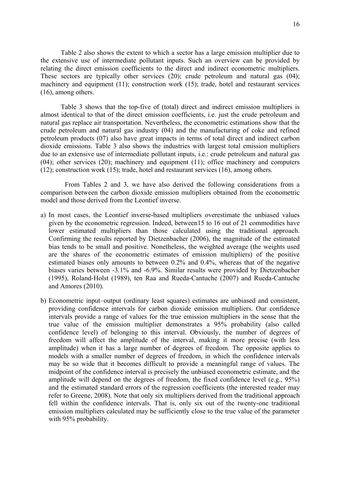Table 2 also shows the extent to which a sector has a large emission multiplier due to the extensive use of intermediate pollutant inputs. Such an overview can be provided by relating the direct emission coefficients to the direct and indirect econometric multipliers. These sectors are typically other services (20); crude petroleum and natural gas (04); machinery and equipment (11); construction work (15); trade, hotel and restaurant services (16), among others.

Table 3 shows that the top-five of (total) direct and indirect emission multipliers is almost identical to that of the direct emission coefficients, i.e. just the crude petroleum and natural gas replace air transportation. Nevertheless, the econometric estimations show that the crude petroleum and natural gas industry (04) and the manufacturing of coke and refined petroleum products (07) also have great impacts in terms of total direct and indirect carbon dioxide emissions. Table 3 also shows the industries with largest total emission multipliers due to an extensive use of intermediate pollutant inputs, i.e.: crude petroleum and natural gas (04); other services (20); machinery and equipment (11); office machinery and computers (12); construction work (15); trade, hotel and restaurant services (16), among others.

From Tables 2 and 3, we have also derived the following considerations from a comparison between the carbon dioxide emission multipliers obtained from the econometric model and those derived from the Leontief inverse.

- a) In most cases, the Leontief inverse-based multipliers overestimate the unbiased values given by the econometric regression. Indeed, between15 to 16 out of 21 commodities have lower estimated multipliers than those calculated using the traditional approach. Confirming the results reported by Dietzenbacher (2006), the magnitude of the estimated bias tends to be small and positive. Nonetheless, the weighted average (the weights used are the shares of the econometric estimates of emission multipliers) of the positive estimated biases only amounts to between 0.2% and 0.4%, whereas that of the negative biases varies between -3.1% and -6.9%. Similar results were provided by Dietzenbacher (1995), Roland-Holst (1989), ten Raa and Rueda-Cantuche (2007) and Rueda-Cantuche and Amores (2010).
- b) Econometric input–output (ordinary least squares) estimates are unbiased and consistent, providing confidence intervals for carbon dioxide emission multipliers. Our confidence intervals provide a range of values for the true emission multipliers in the sense that the true value of the emission multiplier demonstrates a 95% probability (also called confidence level) of belonging to this interval. Obviously, the number of degrees of freedom will affect the amplitude of the interval, making it more precise (with less amplitude) when it has a large number of degrees of freedom. The opposite applies to models with a smaller number of degrees of freedom, in which the confidence intervals may be so wide that it becomes difficult to provide a meaningful range of values. The midpoint of the confidence interval is precisely the unbiased econometric estimate, and the amplitude will depend on the degrees of freedom, the fixed confidence level (e.g., 95%) and the estimated standard errors of the regression coefficients (the interested reader may refer to Greene, 2008). Note that only six multipliers derived from the traditional approach fell within the confidence intervals. That is, only six out of the twenty-one traditional emission multipliers calculated may be sufficiently close to the true value of the parameter with 95% probability.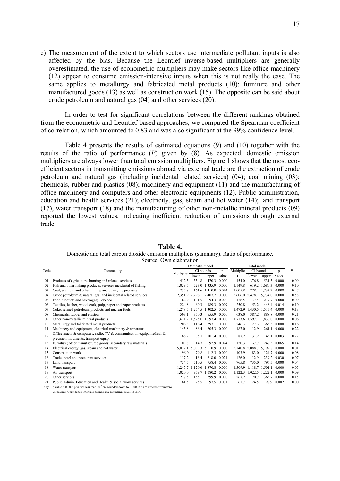c) The measurement of the extent to which sectors use intermediate pollutant inputs is also affected by the bias. Because the Leontief inverse-based multipliers are generally overestimated, the use of econometric multipliers may make sectors like office machinery (12) appear to consume emission-intensive inputs when this is not really the case. The same applies to metallurgy and fabricated metal products (10); furniture and other manufactured goods (13) as well as construction work (15). The opposite can be said about crude petroleum and natural gas (04) and other services (20).

In order to test for significant correlations between the different rankings obtained from the econometric and Leontief-based approaches, we computed the Spearman coefficient of correlation, which amounted to 0.83 and was also significant at the 99% confidence level.

Table 4 presents the results of estimated equations (9) and (10) together with the results of the ratio of performance (*P*) given by (8). As expected, domestic emission multipliers are always lower than total emission multipliers. Figure 1 shows that the most ecoefficient sectors in transmitting emissions abroad via external trade are the extraction of crude petroleum and natural gas (including incidental related services) (04); coal mining (03); chemicals, rubber and plastics (08); machinery and equipment (11) and the manufacturing of office machinery and computers and other electronic equipments (12). Public administration, education and health services (21); electricity, gas, steam and hot water (14); land transport (17), water transport (18) and the manufacturing of other non-metallic mineral products (09) reported the lowest values, indicating inefficient reduction of emissions through external trade.

| bource. Own chaboration<br>Domestic model |                                                                         |             |                 |                         |             |           | Total model                   |               |             |      |
|-------------------------------------------|-------------------------------------------------------------------------|-------------|-----------------|-------------------------|-------------|-----------|-------------------------------|---------------|-------------|------|
| Code                                      | Commodity                                                               | Multiplier- | CI bounds       |                         | p           | Multiplie | CI bounds                     |               | p           | P    |
|                                           |                                                                         |             | lower           | upper                   | value       | r         | lower                         | upper         | value       |      |
| 01                                        | Products of agriculture, hunting and related services                   | 412.5       | 354.8           | 470.3                   | 0.000       | 454.0     | 376.8                         | 531.3         | 0.000       | 0.09 |
| 02                                        | Fish and other fishing products; services incidental of fishing         | 1,029.5     |                 | 723.0 1.335.9           | 0.000       | 1,149.8   | 619.2                         | 1.680.3       | 0.000       | 0.10 |
| 03                                        | Coal, uranium and other mining and quarrying products                   | 735.8       |                 | 161.6 1,310.0           | 0.014       | 1,005.8   |                               | 278.4 1,733.2 | 0.008       | 0.27 |
| 04                                        | Crude petroleum $\&$ natural gas; and incidental related services       |             |                 | 2,351.9 2,296.1 2,407.7 | 0.000       |           | 5,606.0 5,478.1 5,734.0       |               | 0.000       | 0.58 |
| 05                                        | Food products and beverages; Tobacco                                    | 162.9       | 131.5           | 1943                    | 0.000       | 178.5     | 1374                          | 219.7         | 0.000       | 0.09 |
| 06                                        | Textiles, leather, wood, cork, pulp, paper and paper products           | 224.8       | 60.3            | 389.3                   | 0.009       | 250.8     | 53.2                          |               | 4484 0.014  | 0.10 |
| 07                                        | Coke, refined petroleum products and nuclear fuels                      |             | 1,278.5 1,254.5 | 1,302.5                 | 0.000       |           | 1,472.9 1,430.5 1,515.4 0.000 |               |             | 0.13 |
| 08                                        | Chemicals, rubber and plastics                                          | 503.1       | 350.3           | 655.9                   | 0.000       | 638.0     | 387.2                         |               | 888.8 0.000 | 0.21 |
| 09                                        | Other non-metallic mineral products                                     |             |                 | 1,611.2 1,525.0 1,697.4 | 0.000       |           | 1,713.6 1,597.1               | 1.830.0       | 0.000       | 0.06 |
| 10                                        | Metallurgy and fabricated metal products                                | 206.8       | 116.4           | 297.1                   | 0.000       | 246.3     | 127.3                         | 365.3         | 0.000       | 0.16 |
| 11                                        | Machinery and equipment; electrical machinery & apparatus               | 145.8       | 86.4            | 205.3                   | 0.000       | 187.0     | 112.9                         |               | 261.1 0.000 | 0.22 |
| 12                                        | Office mach. & computers; radio, TV & communication equip. medical $\&$ |             |                 |                         |             |           |                               |               |             |      |
|                                           | precision intruments; transport equip.                                  | 68.2        | 35.1            |                         | 101.4 0.000 | 87.2      | 31.2                          | 143.1         | 0.003       | 0.22 |
| 13                                        | Furniture; other manufactured goods; secondary raw materials            | 103.8       | 14.7            | 192.9                   | 0.024       | 120.3     | $-7.7$                        | 248.3         | 0.065       | 0.14 |
| 14                                        | Electrical energy, gas, steam and hot water                             |             |                 | 5,072.1 5,033.3 5,110.9 | 0.000       |           | 5,140.8 5,088.7 5,192.8       |               | 0.000       | 0.01 |
| 15                                        | Construction work                                                       | 96.0        | 79.8            | 112.3                   | 0.000       | 103.9     | 83.0                          | 124.7         | 0.000       | 0.08 |
| 16                                        | Trade; hotel and restaurant services                                    | 117.2       | 164             | 218.0                   | 0.024       | 126.0     | 12.9                          | 239.2         | 0.030       | 0.07 |
| 17                                        | Land transport                                                          | 734.5       | 710.5           | 758.4                   | 0.000       | 765.8     | 735.0                         | 796.5         | 0.000       | 0.04 |
| 18                                        | Water transport                                                         | 1.245.7     |                 | 1,120.6 1,370.8         | 0.000       |           | 1,309.9 1,118.7 1,501.1       |               | 0.000       | 0.05 |
| 19                                        | Air transport                                                           | 1,020.0     |                 | 959.7 1,080.2           | 0.000       | 1,122.3   | 1,022.5                       | 1,222.1       | 0.000       | 0.09 |
| 20                                        | Other services                                                          | 227.5       | 155.1           | 299.9                   | 0.000       | 267.2     | 170.7                         | 363.7         | 0.000       | 0.15 |
|                                           | Public Admin. Education and Health & social work services               | 61.5        | 25.5            | 97.5                    | 0.001       | 61.7      | 24.5                          |               | 98.9 0.002  | 0.00 |

**Table 4.**  Domestic and total carbon dioxide emission multipliers (summary). Ratio of performance. Source: Own elaboration

Key: p value =  $0.000$ : p values less than  $10^{-4}$  are rounded down to 0.000, but are different from zero.

CI bounds: Confidence Intervals bounds at a confidence level of 95%.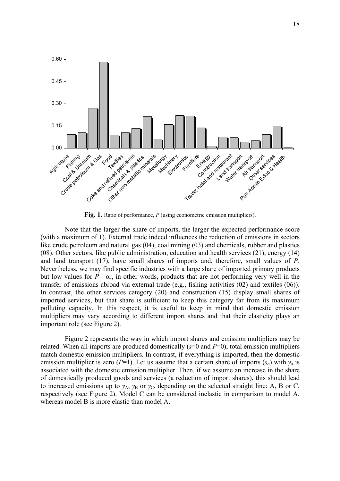

**Fig. 1.** Ratio of performance, *P* (using econometric emission multipliers).

Note that the larger the share of imports, the larger the expected performance score (with a maximum of 1). External trade indeed influences the reduction of emissions in sectors like crude petroleum and natural gas (04), coal mining (03) and chemicals, rubber and plastics (08). Other sectors, like public administration, education and health services (21), energy (14) and land transport (17), have small shares of imports and, therefore, small values of *P*. Nevertheless, we may find specific industries with a large share of imported primary products but low values for *P*—or, in other words, products that are not performing very well in the transfer of emissions abroad via external trade (e.g., fishing activities (02) and textiles (06)). In contrast, the other services category (20) and construction (15) display small shares of imported services, but that share is sufficient to keep this category far from its maximum polluting capacity. In this respect, it is useful to keep in mind that domestic emission multipliers may vary according to different import shares and that their elasticity plays an important role (see Figure 2).

Figure 2 represents the way in which import shares and emission multipliers may be related. When all imports are produced domestically (*s*=0 and *P*=0), total emission multipliers match domestic emission multipliers. In contrast, if everything is imported, then the domestic emission multiplier is zero ( $P=1$ ). Let us assume that a certain share of imports ( $s<sub>o</sub>$ ) with  $\gamma_d$  is associated with the domestic emission multiplier. Then, if we assume an increase in the share of domestically produced goods and services (a reduction of import shares), this should lead to increased emissions up to  $\gamma_A$ ,  $\gamma_B$  or  $\gamma_C$ , depending on the selected straight line: A, B or C, respectively (see Figure 2). Model C can be considered inelastic in comparison to model A, whereas model B is more elastic than model A.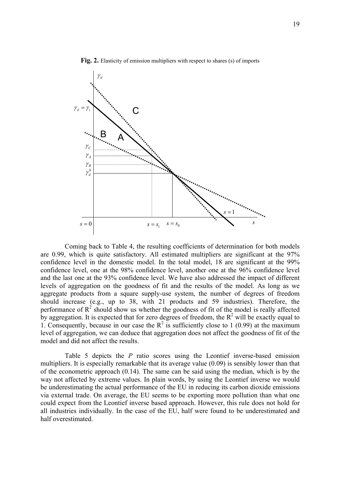

**Fig. 2.** Elasticity of emission multipliers with respect to shares (s) of imports

Coming back to Table 4, the resulting coefficients of determination for both models are 0.99, which is quite satisfactory. All estimated multipliers are significant at the 97% confidence level in the domestic model. In the total model, 18 are significant at the 99% confidence level, one at the 98% confidence level, another one at the 96% confidence level and the last one at the 93% confidence level. We have also addressed the impact of different levels of aggregation on the goodness of fit and the results of the model. As long as we aggregate products from a square supply-use system, the number of degrees of freedom should increase (e.g., up to 38, with 21 products and 59 industries). Therefore, the performance of  $R^2$  should show us whether the goodness of fit of the model is really affected by aggregation. It is expected that for zero degrees of freedom, the  $R<sup>2</sup>$  will be exactly equal to 1. Consequently, because in our case the  $R^2$  is sufficiently close to 1 (0.99) at the maximum level of aggregation, we can deduce that aggregation does not affect the goodness of fit of the model and did not affect the results.

Table 5 depicts the *P* ratio scores using the Leontief inverse-based emission multipliers. It is especially remarkable that its average value (0.09) is sensibly lower than that of the econometric approach (0.14). The same can be said using the median, which is by the way not affected by extreme values. In plain words, by using the Leontief inverse we would be underestimating the actual performance of the EU in reducing its carbon dioxide emissions via external trade. On average, the EU seems to be exporting more pollution than what one could expect from the Leontief inverse based approach. However, this rule does not hold for all industries individually. In the case of the EU, half were found to be underestimated and half overestimated.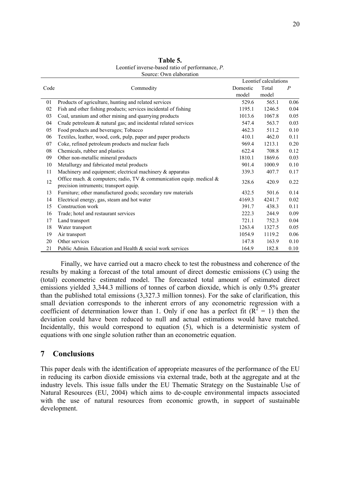|      |                                                                                                                |          | Leontief calculations |                |
|------|----------------------------------------------------------------------------------------------------------------|----------|-----------------------|----------------|
| Code | Commodity                                                                                                      | Domestic | Total                 | $\overline{P}$ |
|      |                                                                                                                | model    | model                 |                |
| 01   | Products of agriculture, hunting and related services                                                          | 529.6    | 565.1                 | 0.06           |
| 02   | Fish and other fishing products; services incidental of fishing                                                | 1195.1   | 1246.5                | 0.04           |
| 03   | Coal, uranium and other mining and quarrying products                                                          | 1013.6   | 1067.8                | 0.05           |
| 04   | Crude petroleum & natural gas; and incidental related services                                                 | 547.4    | 563.7                 | 0.03           |
| 05   | Food products and beverages; Tobacco                                                                           | 462.3    | 511.2                 | 0.10           |
| 06   | Textiles, leather, wood, cork, pulp, paper and paper products                                                  | 410.1    | 462.0                 | 0.11           |
| 07   | Coke, refined petroleum products and nuclear fuels                                                             | 969.4    | 1213.1                | 0.20           |
| 08   | Chemicals, rubber and plastics                                                                                 | 622.4    | 708.8                 | 0.12           |
| 09   | Other non-metallic mineral products                                                                            | 1810.1   | 1869.6                | 0.03           |
| 10   | Metallurgy and fabricated metal products                                                                       | 901.4    | 1000.9                | 0.10           |
| 11   | Machinery and equipment; electrical machinery & apparatus                                                      | 339.3    | 407.7                 | 0.17           |
| 12   | Office mach. & computers; radio, TV & communication equip. medical &<br>precision intruments; transport equip. | 328.6    | 420.9                 | 0.22           |
| 13   | Furniture; other manufactured goods; secondary raw materials                                                   | 432.5    | 501.6                 | 0.14           |
| 14   | Electrical energy, gas, steam and hot water                                                                    | 4169.3   | 4241.7                | 0.02           |
| 15   | Construction work                                                                                              | 391.7    | 438.3                 | 0.11           |
| 16   | Trade; hotel and restaurant services                                                                           | 222.3    | 244.9                 | 0.09           |
| 17   | Land transport                                                                                                 | 721.1    | 752.3                 | 0.04           |
| 18   | Water transport                                                                                                | 1263.4   | 1327.5                | 0.05           |
| 19   | Air transport                                                                                                  | 1054.9   | 1119.2                | 0.06           |
| 20   | Other services                                                                                                 | 147.8    | 163.9                 | 0.10           |
| 21   | Public Admin. Education and Health & social work services                                                      | 164.9    | 182.8                 | 0.10           |

**Table 5.**  Leontief inverse-based ratio of performance, *P.* Source: Own elaboration

Finally, we have carried out a macro check to test the robustness and coherence of the results by making a forecast of the total amount of direct domestic emissions (*C*) using the (total) econometric estimated model. The forecasted total amount of estimated direct emissions yielded 3,344.3 millions of tonnes of carbon dioxide, which is only 0.5% greater than the published total emissions (3,327.3 million tonnes). For the sake of clarification, this small deviation corresponds to the inherent errors of any econometric regression with a coefficient of determination lower than 1. Only if one has a perfect fit ( $R^2 = 1$ ) then the deviation could have been reduced to null and actual estimations would have matched. Incidentally, this would correspond to equation (5), which is a deterministic system of equations with one single solution rather than an econometric equation.

# **7 Conclusions**

This paper deals with the identification of appropriate measures of the performance of the EU in reducing its carbon dioxide emissions via external trade, both at the aggregate and at the industry levels. This issue falls under the EU Thematic Strategy on the Sustainable Use of Natural Resources (EU, 2004) which aims to de-couple environmental impacts associated with the use of natural resources from economic growth, in support of sustainable development.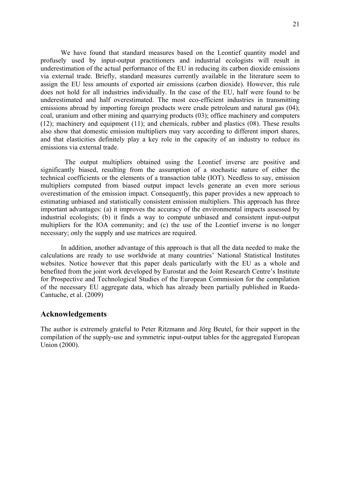We have found that standard measures based on the Leontief quantity model and profusely used by input-output practitioners and industrial ecologists will result in underestimation of the actual performance of the EU in reducing its carbon dioxide emissions via external trade. Briefly, standard measures currently available in the literature seem to assign the EU less amounts of exported air emissions (carbon dioxide). However, this rule does not hold for all industries individually. In the case of the EU, half were found to be underestimated and half overestimated. The most eco-efficient industries in transmitting emissions abroad by importing foreign products were crude petroleum and natural gas (04); coal, uranium and other mining and quarrying products (03); office machinery and computers (12); machinery and equipment (11); and chemicals, rubber and plastics (08). These results also show that domestic emission multipliers may vary according to different import shares, and that elasticities definitely play a key role in the capacity of an industry to reduce its emissions via external trade.

The output multipliers obtained using the Leontief inverse are positive and significantly biased, resulting from the assumption of a stochastic nature of either the technical coefficients or the elements of a transaction table (IOT). Needless to say, emission multipliers computed from biased output impact levels generate an even more serious overestimation of the emission impact. Consequently, this paper provides a new approach to estimating unbiased and statistically consistent emission multipliers. This approach has three important advantages: (a) it improves the accuracy of the environmental impacts assessed by industrial ecologists; (b) it finds a way to compute unbiased and consistent input-output multipliers for the IOA community; and (c) the use of the Leontief inverse is no longer necessary; only the supply and use matrices are required.

 In addition, another advantage of this approach is that all the data needed to make the calculations are ready to use worldwide at many countries' National Statistical Institutes websites. Notice however that this paper deals particularly with the EU as a whole and benefited from the joint work developed by Eurostat and the Joint Research Centre's Institute for Prospective and Technological Studies of the European Commission for the compilation of the necessary EU aggregate data, which has already been partially published in Rueda-Cantuche, et al. (2009)

# **Acknowledgements**

The author is extremely grateful to Peter Ritzmann and Jörg Beutel, for their support in the compilation of the supply-use and symmetric input-output tables for the aggregated European Union (2000).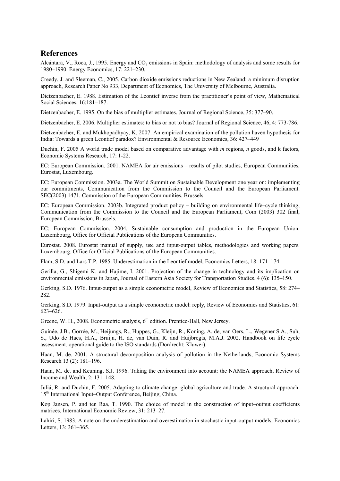# **References**

Alcántara, V., Roca, J., 1995. Energy and CO<sub>2</sub> emissions in Spain: methodology of analysis and some results for 1980–1990. Energy Economics, 17: 221–230.

Creedy, J. and Sleeman, C., 2005. Carbon dioxide emissions reductions in New Zealand: a minimum disruption approach, Research Paper No 933, Department of Economics, The University of Melbourne, Australia.

Dietzenbacher, E. 1988. Estimation of the Leontief inverse from the practitioner's point of view, Mathematical Social Sciences, 16:181–187.

Dietzenbacher, E. 1995. On the bias of multiplier estimates. Journal of Regional Science, 35: 377–90.

Dietzenbacher, E. 2006. Multiplier estimates: to bias or not to bias? Journal of Regional Science, 46, 4: 773-786.

Dietzenbacher, E. and Mukhopadhyay, K. 2007. An empirical examination of the pollution haven hypothesis for India: Towards a green Leontief paradox? Environmental & Resource Economics, 36: 427–449

Duchin, F. 2005 A world trade model based on comparative advantage with *m* regions, *n* goods, and k factors, Economic Systems Research, 17: 1-22.

EC: European Commission. 2001. NAMEA for air emissions – results of pilot studies, European Communities, Eurostat, Luxembourg.

EC: European Commission. 2003a. The World Summit on Sustainable Development one year on: implementing our commitments, Communication from the Commission to the Council and the European Parliament. SEC(2003) 1471. Commission of the European Communities. Brussels.

EC: European Commission. 2003b. Integrated product policy – building on environmental life–cycle thinking, Communication from the Commission to the Council and the European Parliament, Com (2003) 302 final, European Commission, Brussels.

EC: European Commission. 2004. Sustainable consumption and production in the European Union. Luxembourg, Office for Official Publications of the European Communities.

Eurostat. 2008. Eurostat manual of supply, use and input-output tables, methodologies and working papers. Luxembourg, Office for Official Publications of the European Communities.

Flam, S.D. and Lars T.P. 1985. Underestimation in the Leontief model, Economics Letters, 18: 171–174.

Gerilla, G., Shigemi K. and Hajime, I. 2001. Projection of the change in technology and its implication on environmental emissions in Japan, Journal of Eastern Asia Society for Transportation Studies. 4 (6): 135–150.

Gerking, S.D. 1976. Input-output as a simple econometric model, Review of Economics and Statistics, 58: 274– 282.

Gerking, S.D. 1979. Input-output as a simple econometric model: reply, Review of Economics and Statistics, 61: 623–626.

Greene, W. H., 2008. Econometric analysis, 6<sup>th</sup> edition. Prentice-Hall, New Jersey.

Guinée, J.B., Gorrée, M., Heijungs, R., Huppes, G., Kleijn, R., Koning, A. de, van Oers, L., Wegener S.A., Suh, S., Udo de Haes, H.A., Bruijn, H. de, van Duin, R. and Huijbregts, M.A.J. 2002. Handbook on life cycle assessment, operational guide to the ISO standards (Dordrecht: Kluwer).

Haan, M. de. 2001. A structural decomposition analysis of pollution in the Netherlands, Economic Systems Research 13 (2): 181–196.

Haan, M. de. and Keuning, S.J. 1996. Taking the environment into account: the NAMEA approach, Review of Income and Wealth, 2: 131–148.

Juliá, R. and Duchin, F. 2005. Adapting to climate change: global agriculture and trade. A structural approach. 15<sup>th</sup> International Input–Output Conference, Beijing, China.

Kop Jansen, P. and ten Raa, T. 1990. The choice of model in the construction of input–output coefficients matrices, International Economic Review, 31: 213–27.

Lahiri, S. 1983. A note on the underestimation and overestimation in stochastic input-output models, Economics Letters, 13: 361–365.